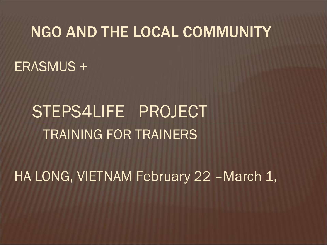#### NGO AND THE LOCAL COMMUNITY

ERASMUS +

### STEPS4LIFE PROJECT TRAINING FOR TRAINERS

HA LONG, VIETNAM February 22 - March 1,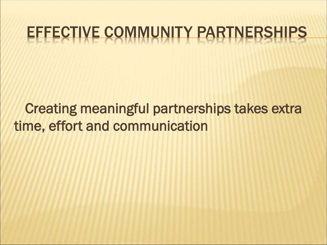# EFFECTIVE COMMUNITY PARTNERSHIPS

#### Creating meaningful partnerships takes extra time, effort and communication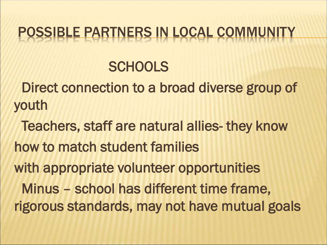### POSSIBLE PARTNERS IN LOCAL COMMUNITY

#### **SCHOOLS**

Direct connection to a broad diverse group of youth

Teachers, staff are natural allies- they know how to match student families with appropriate volunteer opportunities Minus – school has different time frame, rigorous standards, may not have mutual goals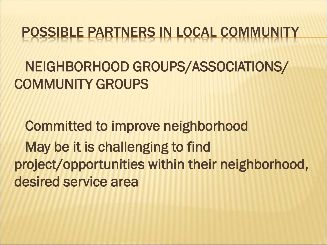### POSSIBLE PARTNERS IN LOCAL COMMUNITY

NEIGHBORHOOD GROUPS/ASSOCIATIONS/ COMMUNITY GROUPS

Committed to improve neighborhood May be it is challenging to find project/opportunities within their neighborhood, desired service area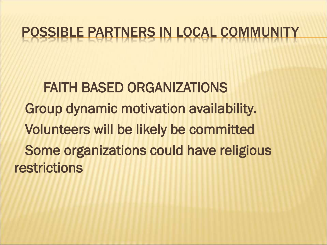### POSSIBLE PARTNERS IN LOCAL COMMUNITY

FAITH BASED ORGANIZATIONS Group dynamic motivation availability. Volunteers will be likely be committed Some organizations could have religious restrictions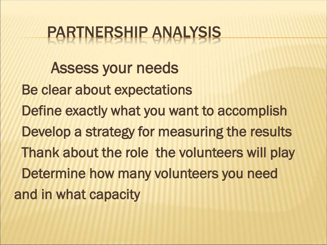### PARTNERSHIP ANALYSIS

Assess your needs Be clear about expectations Define exactly what you want to accomplish Develop a strategy for measuring the results Thank about the role the volunteers will play Determine how many volunteers you need and in what capacity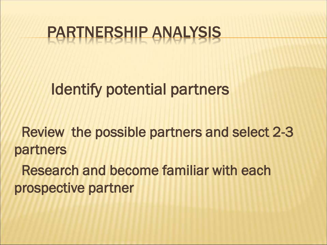## PARTNERSHIP ANALYSIS

#### Identify potential partners

Review the possible partners and select 2-3 partners

Research and become familiar with each prospective partner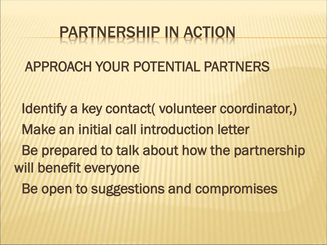## PARTNERSHIP IN ACTION

#### APPROACH YOUR POTENTIAL PARTNERS

Identify a key contact( volunteer coordinator,) Make an initial call introduction letter Be prepared to talk about how the partnership will benefit everyone Be open to suggestions and compromises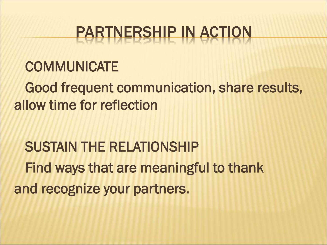# PARTNERSHIP IN ACTION

#### **COMMUNICATE**

Good frequent communication, share results, allow time for reflection

SUSTAIN THE RELATIONSHIP Find ways that are meaningful to thank and recognize your partners.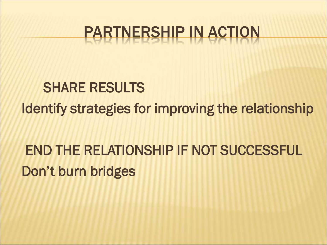# PARTNERSHIP IN ACTION

### SHARE RESULTS Identify strategies for improving the relationship

### END THE RELATIONSHIP IF NOT SUCCESSFUL Don't burn bridges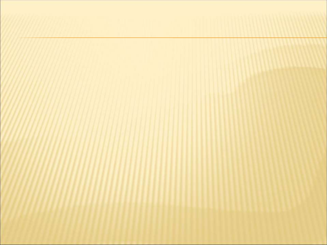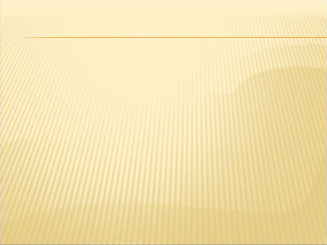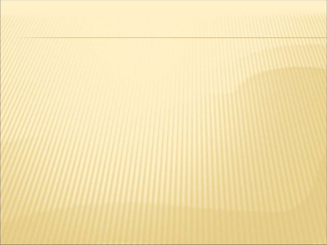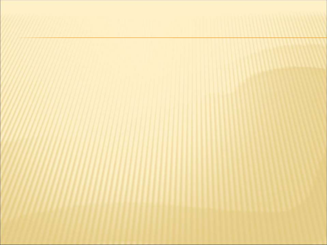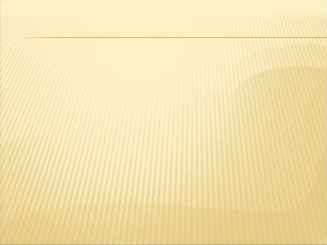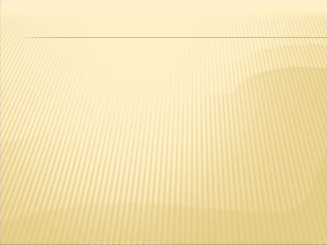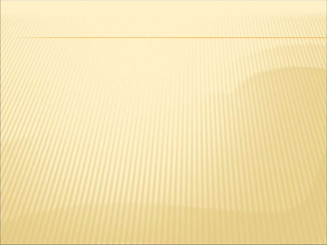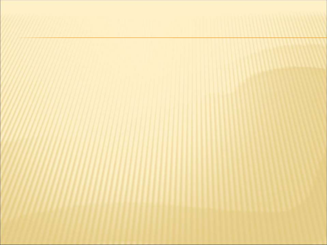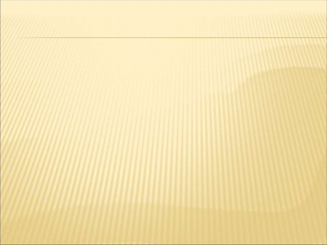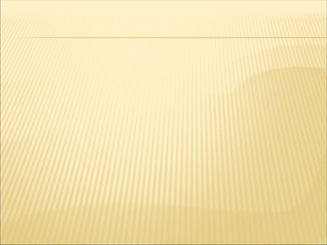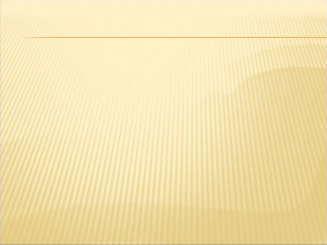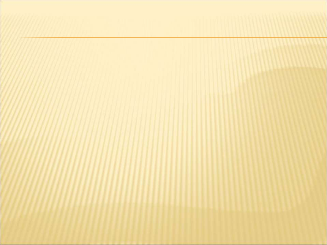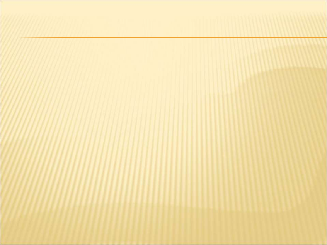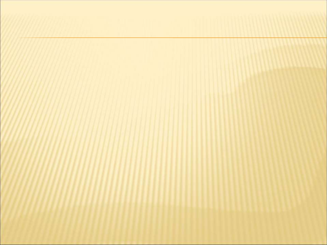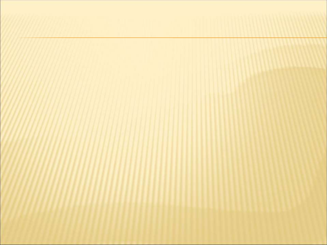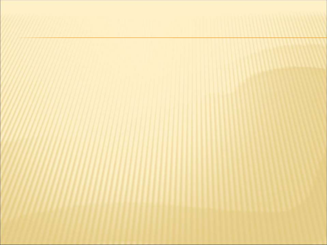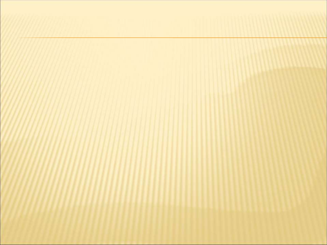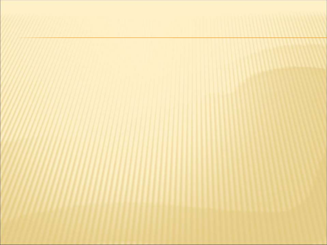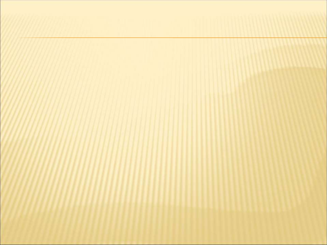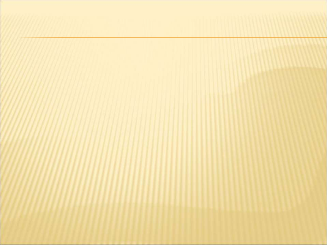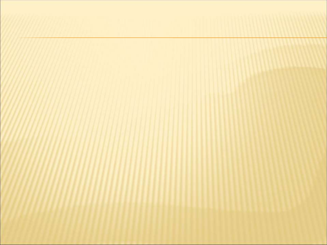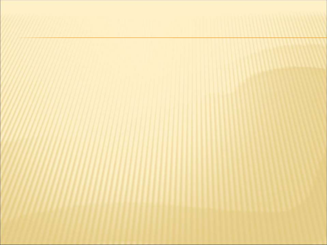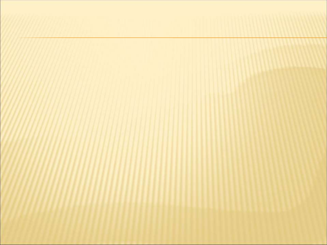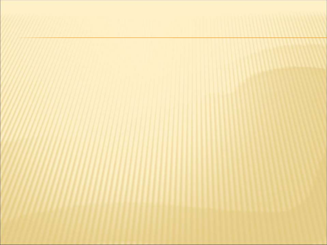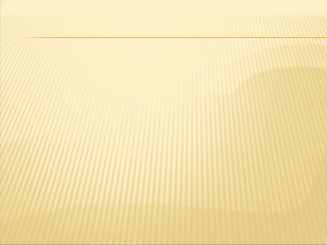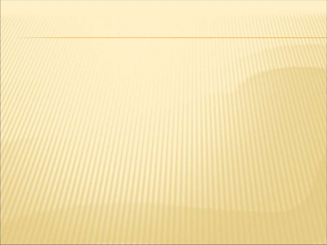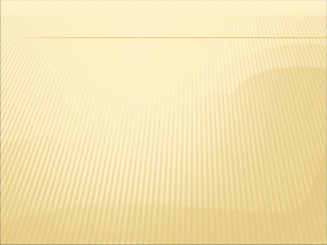